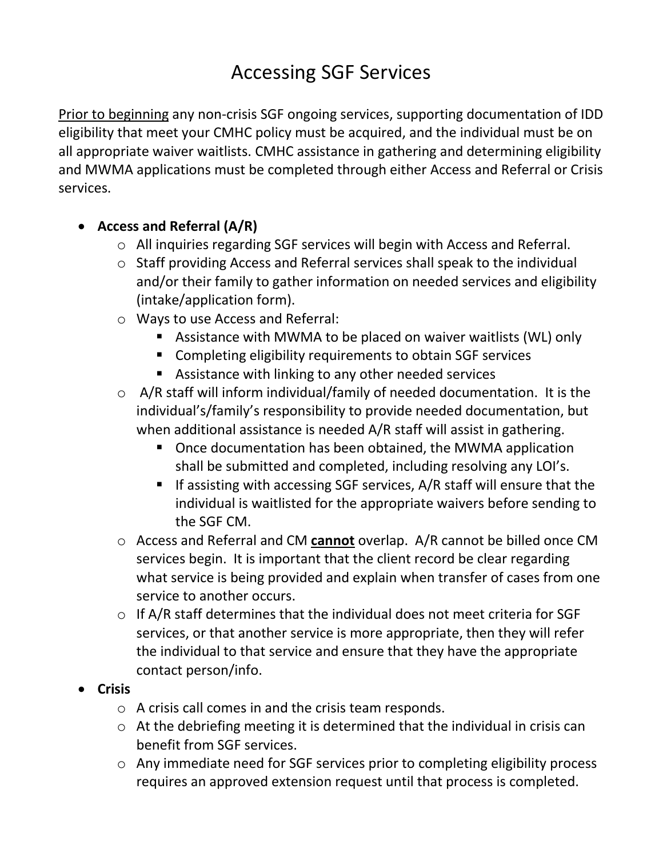## Accessing SGF Services

Prior to beginning any non-crisis SGF ongoing services, supporting documentation of IDD eligibility that meet your CMHC policy must be acquired, and the individual must be on all appropriate waiver waitlists. CMHC assistance in gathering and determining eligibility and MWMA applications must be completed through either Access and Referral or Crisis services.

- **Access and Referral (A/R)**
	- o All inquiries regarding SGF services will begin with Access and Referral.
	- o Staff providing Access and Referral services shall speak to the individual and/or their family to gather information on needed services and eligibility (intake/application form).
	- o Ways to use Access and Referral:
		- Assistance with MWMA to be placed on waiver waitlists (WL) only
		- Completing eligibility requirements to obtain SGF services
		- Assistance with linking to any other needed services
	- o A/R staff will inform individual/family of needed documentation. It is the individual's/family's responsibility to provide needed documentation, but when additional assistance is needed A/R staff will assist in gathering.
		- Once documentation has been obtained, the MWMA application shall be submitted and completed, including resolving any LOI's.
		- If assisting with accessing SGF services, A/R staff will ensure that the individual is waitlisted for the appropriate waivers before sending to the SGF CM.
	- o Access and Referral and CM **cannot** overlap. A/R cannot be billed once CM services begin. It is important that the client record be clear regarding what service is being provided and explain when transfer of cases from one service to another occurs.
	- o If A/R staff determines that the individual does not meet criteria for SGF services, or that another service is more appropriate, then they will refer the individual to that service and ensure that they have the appropriate contact person/info.
- **Crisis**
	- o A crisis call comes in and the crisis team responds.
	- o At the debriefing meeting it is determined that the individual in crisis can benefit from SGF services.
	- o Any immediate need for SGF services prior to completing eligibility process requires an approved extension request until that process is completed.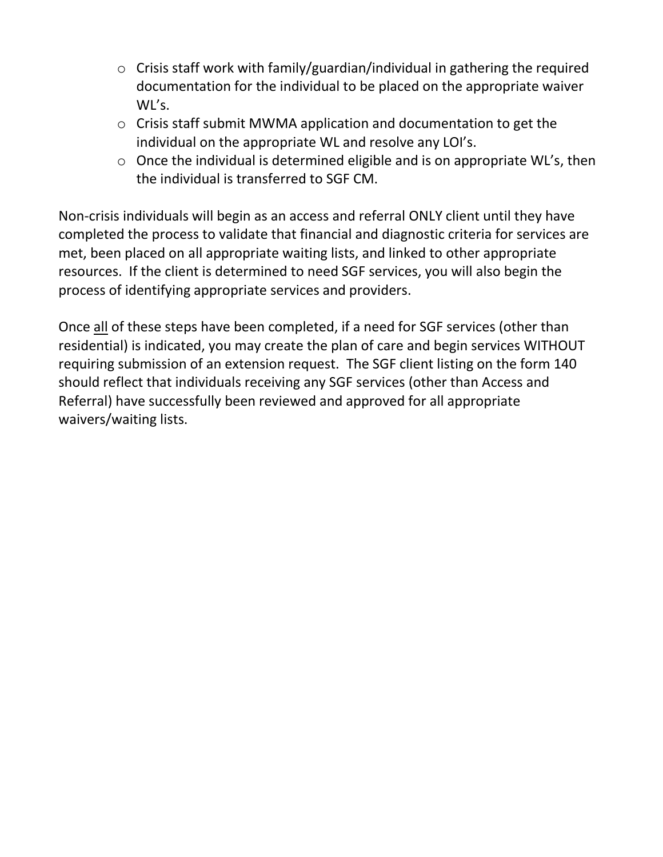- o Crisis staff work with family/guardian/individual in gathering the required documentation for the individual to be placed on the appropriate waiver WL's.
- o Crisis staff submit MWMA application and documentation to get the individual on the appropriate WL and resolve any LOI's.
- o Once the individual is determined eligible and is on appropriate WL's, then the individual is transferred to SGF CM.

Non-crisis individuals will begin as an access and referral ONLY client until they have completed the process to validate that financial and diagnostic criteria for services are met, been placed on all appropriate waiting lists, and linked to other appropriate resources. If the client is determined to need SGF services, you will also begin the process of identifying appropriate services and providers.

Once all of these steps have been completed, if a need for SGF services (other than residential) is indicated, you may create the plan of care and begin services WITHOUT requiring submission of an extension request. The SGF client listing on the form 140 should reflect that individuals receiving any SGF services (other than Access and Referral) have successfully been reviewed and approved for all appropriate waivers/waiting lists.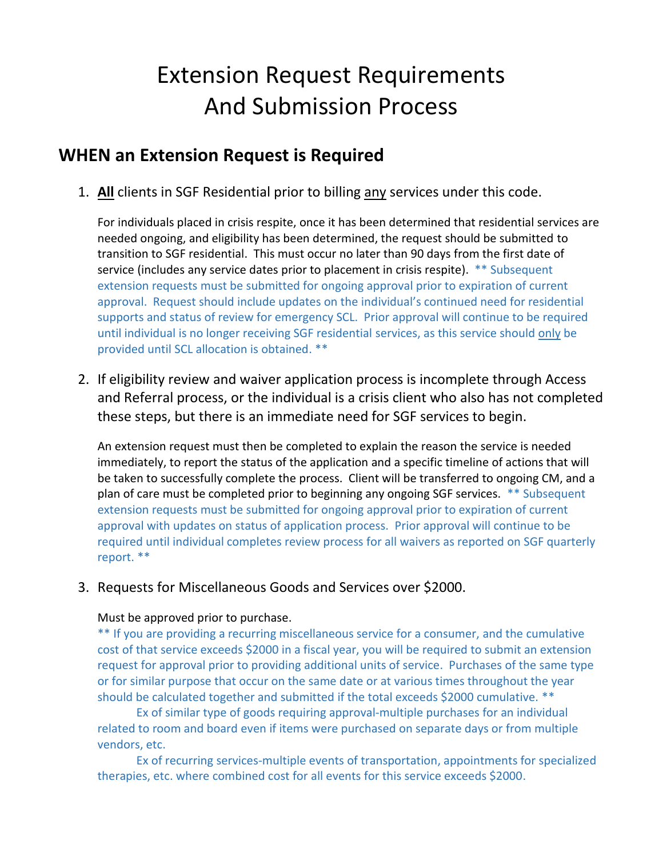# Extension Request Requirements And Submission Process

### **WHEN an Extension Request is Required**

1. **All** clients in SGF Residential prior to billing any services under this code.

For individuals placed in crisis respite, once it has been determined that residential services are needed ongoing, and eligibility has been determined, the request should be submitted to transition to SGF residential. This must occur no later than 90 days from the first date of service (includes any service dates prior to placement in crisis respite). \*\* Subsequent extension requests must be submitted for ongoing approval prior to expiration of current approval. Request should include updates on the individual's continued need for residential supports and status of review for emergency SCL. Prior approval will continue to be required until individual is no longer receiving SGF residential services, as this service should only be provided until SCL allocation is obtained. \*\*

2. If eligibility review and waiver application process is incomplete through Access and Referral process, or the individual is a crisis client who also has not completed these steps, but there is an immediate need for SGF services to begin.

An extension request must then be completed to explain the reason the service is needed immediately, to report the status of the application and a specific timeline of actions that will be taken to successfully complete the process. Client will be transferred to ongoing CM, and a plan of care must be completed prior to beginning any ongoing SGF services. \*\* Subsequent extension requests must be submitted for ongoing approval prior to expiration of current approval with updates on status of application process. Prior approval will continue to be required until individual completes review process for all waivers as reported on SGF quarterly report. \*\*

#### 3. Requests for Miscellaneous Goods and Services over \$2000.

#### Must be approved prior to purchase.

\*\* If you are providing a recurring miscellaneous service for a consumer, and the cumulative cost of that service exceeds \$2000 in a fiscal year, you will be required to submit an extension request for approval prior to providing additional units of service. Purchases of the same type or for similar purpose that occur on the same date or at various times throughout the year should be calculated together and submitted if the total exceeds \$2000 cumulative. \*\*

Ex of similar type of goods requiring approval-multiple purchases for an individual related to room and board even if items were purchased on separate days or from multiple vendors, etc.

Ex of recurring services-multiple events of transportation, appointments for specialized therapies, etc. where combined cost for all events for this service exceeds \$2000.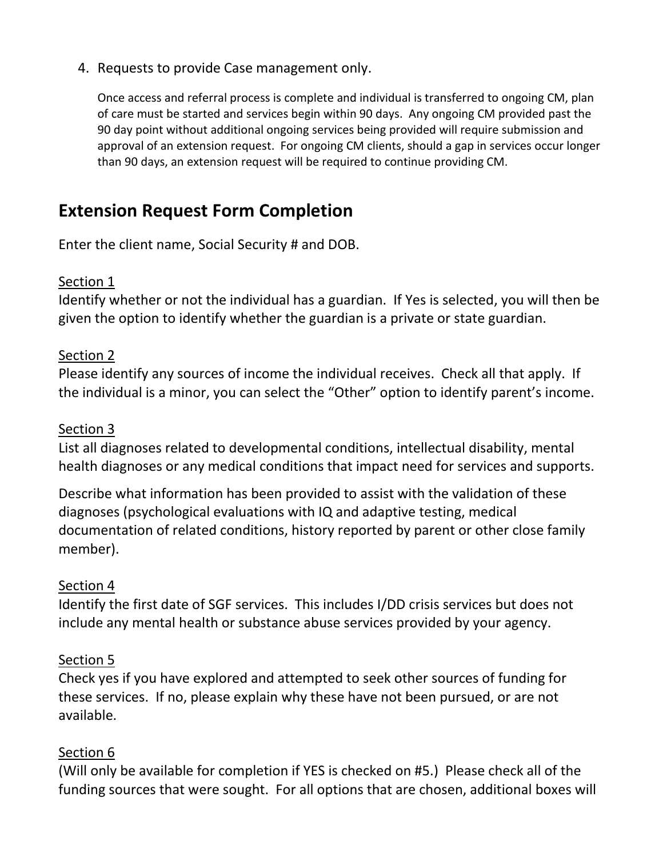#### 4. Requests to provide Case management only.

Once access and referral process is complete and individual is transferred to ongoing CM, plan of care must be started and services begin within 90 days. Any ongoing CM provided past the 90 day point without additional ongoing services being provided will require submission and approval of an extension request. For ongoing CM clients, should a gap in services occur longer than 90 days, an extension request will be required to continue providing CM.

## **Extension Request Form Completion**

Enter the client name, Social Security # and DOB.

#### Section 1

Identify whether or not the individual has a guardian. If Yes is selected, you will then be given the option to identify whether the guardian is a private or state guardian.

#### Section 2

Please identify any sources of income the individual receives. Check all that apply. If the individual is a minor, you can select the "Other" option to identify parent's income.

#### Section 3

List all diagnoses related to developmental conditions, intellectual disability, mental health diagnoses or any medical conditions that impact need for services and supports.

Describe what information has been provided to assist with the validation of these diagnoses (psychological evaluations with IQ and adaptive testing, medical documentation of related conditions, history reported by parent or other close family member).

#### Section 4

Identify the first date of SGF services. This includes I/DD crisis services but does not include any mental health or substance abuse services provided by your agency.

#### Section 5

Check yes if you have explored and attempted to seek other sources of funding for these services. If no, please explain why these have not been pursued, or are not available.

#### Section 6

(Will only be available for completion if YES is checked on #5.) Please check all of the funding sources that were sought. For all options that are chosen, additional boxes will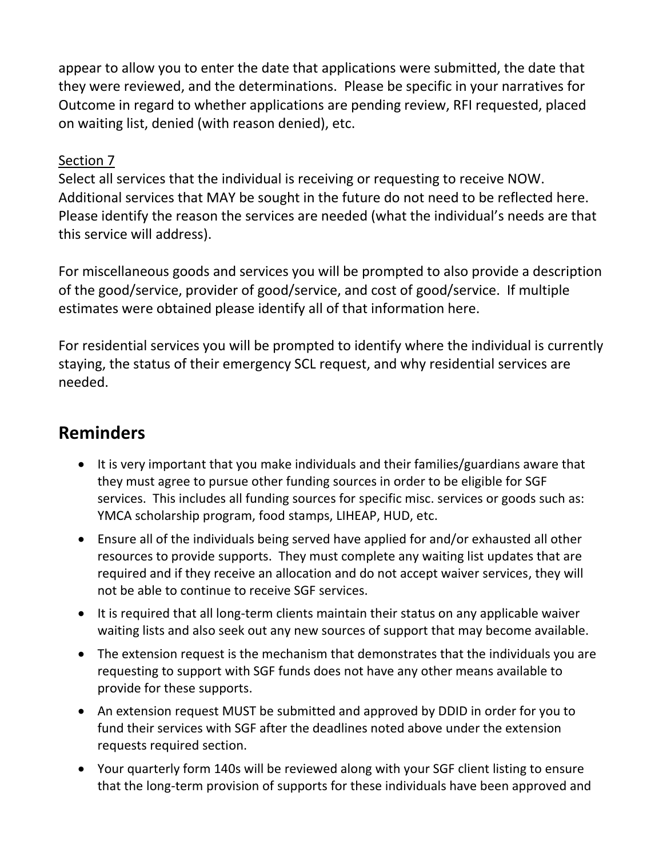appear to allow you to enter the date that applications were submitted, the date that they were reviewed, and the determinations. Please be specific in your narratives for Outcome in regard to whether applications are pending review, RFI requested, placed on waiting list, denied (with reason denied), etc.

#### Section 7

Select all services that the individual is receiving or requesting to receive NOW. Additional services that MAY be sought in the future do not need to be reflected here. Please identify the reason the services are needed (what the individual's needs are that this service will address).

For miscellaneous goods and services you will be prompted to also provide a description of the good/service, provider of good/service, and cost of good/service. If multiple estimates were obtained please identify all of that information here.

For residential services you will be prompted to identify where the individual is currently staying, the status of their emergency SCL request, and why residential services are needed.

## **Reminders**

- It is very important that you make individuals and their families/guardians aware that they must agree to pursue other funding sources in order to be eligible for SGF services. This includes all funding sources for specific misc. services or goods such as: YMCA scholarship program, food stamps, LIHEAP, HUD, etc.
- Ensure all of the individuals being served have applied for and/or exhausted all other resources to provide supports. They must complete any waiting list updates that are required and if they receive an allocation and do not accept waiver services, they will not be able to continue to receive SGF services.
- It is required that all long-term clients maintain their status on any applicable waiver waiting lists and also seek out any new sources of support that may become available.
- The extension request is the mechanism that demonstrates that the individuals you are requesting to support with SGF funds does not have any other means available to provide for these supports.
- An extension request MUST be submitted and approved by DDID in order for you to fund their services with SGF after the deadlines noted above under the extension requests required section.
- Your quarterly form 140s will be reviewed along with your SGF client listing to ensure that the long-term provision of supports for these individuals have been approved and